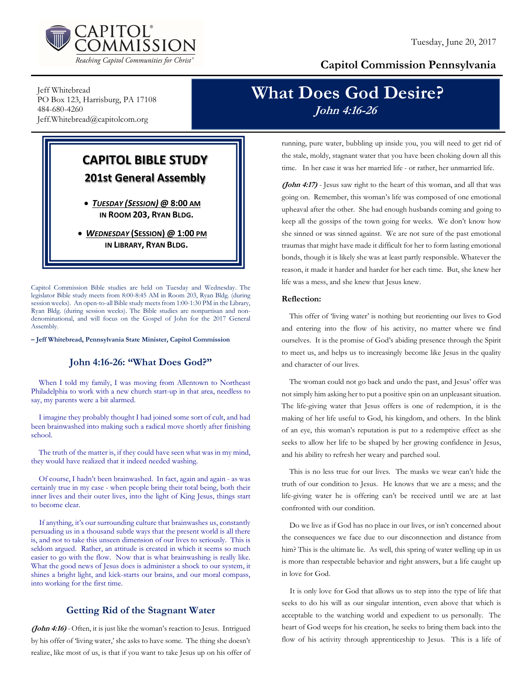

## Capitol Commission Pennsylvania

Jeff Whitebread PO Box 123, Harrisburg, PA 17108 484-680-4260 Jeff.Whitebread@capitolcom.org

## CAPITOL BIBLE STUDY 201st General Assembly

 TUESDAY (SESSION) @ 8:00 AM IN ROOM 203, RYAN BLDG.

• WEDNESDAY (SESSION) @ 1:00 PM IN LIBRARY, RYAN BLDG.

Capitol Commission Bible studies are held on Tuesday and Wednesday. The legislator Bible study meets from 8:00-8:45 AM in Room 203, Ryan Bldg. (during session weeks). An open-to-all Bible study meets from 1:00-1:30 PM in the Library, Ryan Bldg. (during session weeks). The Bible studies are nonpartisan and nondenominational, and will focus on the Gospel of John for the 2017 General Assembly.

– Jeff Whitebread, Pennsylvania State Minister, Capitol Commission

### John 4:16-26: "What Does God?"

When I told my family, I was moving from Allentown to Northeast Philadelphia to work with a new church start-up in that area, needless to say, my parents were a bit alarmed.

I imagine they probably thought I had joined some sort of cult, and had been brainwashed into making such a radical move shortly after finishing school.

The truth of the matter is, if they could have seen what was in my mind, they would have realized that it indeed needed washing.

Of course, I hadn't been brainwashed. In fact, again and again - as was certainly true in my case - when people bring their total being, both their inner lives and their outer lives, into the light of King Jesus, things start to become clear.

If anything, it's our surrounding culture that brainwashes us, constantly persuading us in a thousand subtle ways that the present world is all there is, and not to take this unseen dimension of our lives to seriously. This is seldom argued. Rather, an attitude is created in which it seems so much easier to go with the flow. Now that is what brainwashing is really like. What the good news of Jesus does is administer a shock to our system, it shines a bright light, and kick-starts our brains, and our moral compass, into working for the first time.

## Getting Rid of the Stagnant Water

(John 4:16) - Often, it is just like the woman's reaction to Jesus. Intrigued by his offer of 'living water,' she asks to have some. The thing she doesn't realize, like most of us, is that if you want to take Jesus up on his offer of

# What Does God Desire? John 4:16-26

running, pure water, bubbling up inside you, you will need to get rid of the stale, moldy, stagnant water that you have been choking down all this time. In her case it was her married life - or rather, her unmarried life.

(John 4:17) - Jesus saw right to the heart of this woman, and all that was going on. Remember, this woman's life was composed of one emotional upheaval after the other. She had enough husbands coming and going to keep all the gossips of the town going for weeks. We don't know how she sinned or was sinned against. We are not sure of the past emotional traumas that might have made it difficult for her to form lasting emotional bonds, though it is likely she was at least partly responsible. Whatever the reason, it made it harder and harder for her each time. But, she knew her life was a mess, and she knew that Jesus knew.

### Reflection:

This offer of 'living water' is nothing but reorienting our lives to God and entering into the flow of his activity, no matter where we find ourselves. It is the promise of God's abiding presence through the Spirit to meet us, and helps us to increasingly become like Jesus in the quality and character of our lives.

The woman could not go back and undo the past, and Jesus' offer was not simply him asking her to put a positive spin on an unpleasant situation. The life-giving water that Jesus offers is one of redemption, it is the making of her life useful to God, his kingdom, and others. In the blink of an eye, this woman's reputation is put to a redemptive effect as she seeks to allow her life to be shaped by her growing confidence in Jesus, and his ability to refresh her weary and parched soul.

This is no less true for our lives. The masks we wear can't hide the truth of our condition to Jesus. He knows that we are a mess; and the life-giving water he is offering can't be received until we are at last confronted with our condition.

Do we live as if God has no place in our lives, or isn't concerned about the consequences we face due to our disconnection and distance from him? This is the ultimate lie. As well, this spring of water welling up in us is more than respectable behavior and right answers, but a life caught up in love for God.

It is only love for God that allows us to step into the type of life that seeks to do his will as our singular intention, even above that which is acceptable to the watching world and expedient to us personally. The heart of God weeps for his creation, he seeks to bring them back into the flow of his activity through apprenticeship to Jesus. This is a life of